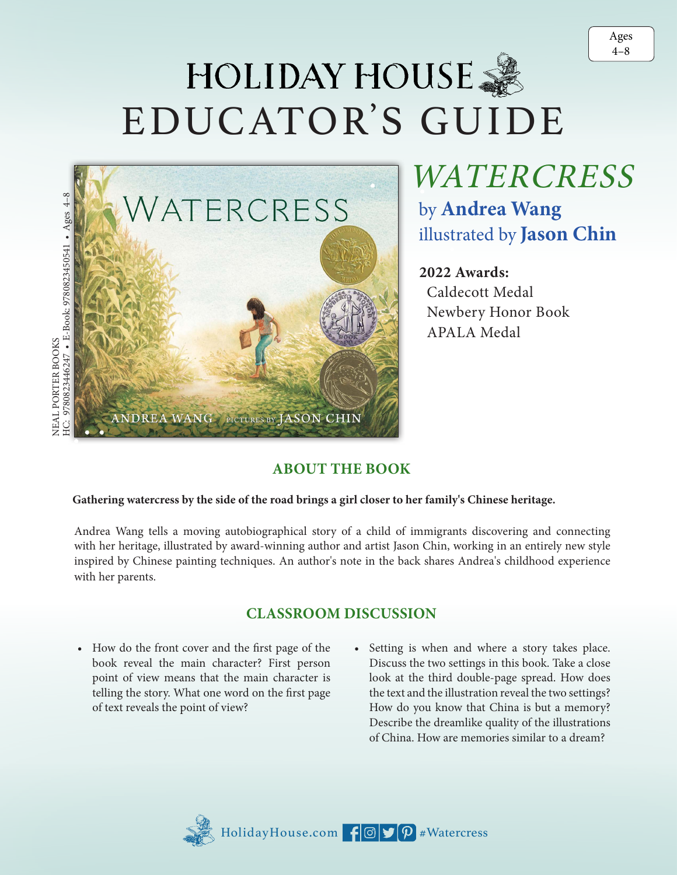# HOLIDAY HOUSE 3 EDUCATOR'S GUIDE



. illustrated by **Jason Chin** .WATERCRESS by **Andrea Wang**

### ..<br>^ **2022 Awards:**

 Caldecott Medal Newbery Honor Book APALA Medal

## **Gathering watercress by the side of the road brings a girl closer to her family's Chinese heritage.** .

Andrea Wang tells a moving autobiographical story of a child of immigrants discovering and connecting with her heritage, illustrated by award-winning author and artist Jason Chin, working in an entirely new style inspired by Chinese painting techniques. An author's note in the back shares Andrea's childhood experience with her parents.

#### **CLASSROOM DISCUSSION**

- How do the front cover and the first page of the book reveal the main character? First person point of view means that the main character is telling the story. What one word on the first page of text reveals the point of view?
- Setting is when and where a story takes place. Discuss the two settings in this book. Take a close look at the third double-page spread. How does the text and the illustration reveal the two settings? How do you know that China is but a memory? Describe the dreamlike quality of the illustrations of China. How are memories similar to a dream?